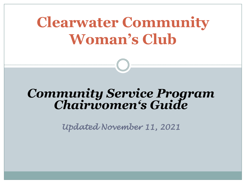# **Clearwater Community Woman's Club**

# *Community Service Program Chairwomen's Guide*

*Updated November 11, 2021*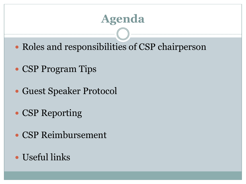## **Agenda**

- Roles and responsibilities of CSP chairperson
- CSP Program Tips
- Guest Speaker Protocol
- CSP Reporting
- CSP Reimbursement
- Useful links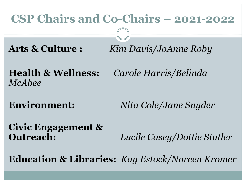#### **CSP Chairs and Co-Chairs – 2021-2022**

**Arts & Culture :** *Kim Davis/JoAnne Roby*

**Health & Wellness:** *Carole Harris/Belinda McAbee*

**Environment:** *Nita Cole/Jane Snyder*

**Civic Engagement &** 

**Outreach:** *Lucile Casey/Dottie Stutler*

**Education & Libraries:** *Kay Estock/Noreen Kromer*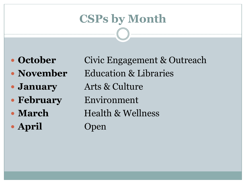## **CSPs by Month**

- 
- 
- 
- 
- 
- **April** Open

**• October** Civic Engagement & Outreach • **November** Education & Libraries **January** Arts & Culture **February** Environment • **March** Health & Wellness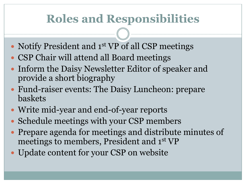## **Roles and Responsibilities**

- Notify President and 1<sup>st</sup> VP of all CSP meetings
- CSP Chair will attend all Board meetings
- Inform the Daisy Newsletter Editor of speaker and provide a short biography
- Fund-raiser events: The Daisy Luncheon: prepare baskets
- Write mid-year and end-of-year reports
- Schedule meetings with your CSP members
- Prepare agenda for meetings and distribute minutes of meetings to members, President and 1st VP
- Update content for your CSP on website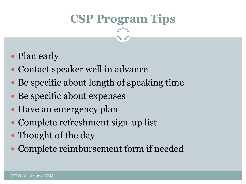## **CSP Program Tips**

- Plan early
- Contact speaker well in advance
- Be specific about length of speaking time
- Be specific about expenses
- Have an emergency plan
- Complete refreshment sign-up list
- Thought of the day
- Complete reimbursement form if needed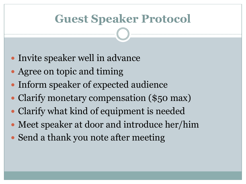#### **Guest Speaker Protocol**

- Invite speaker well in advance
- Agree on topic and timing
- Inform speaker of expected audience
- Clarify monetary compensation (\$50 max)
- Clarify what kind of equipment is needed
- Meet speaker at door and introduce her/him
- Send a thank you note after meeting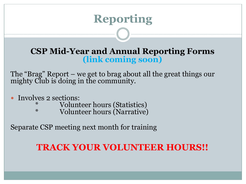## **Reporting**

#### **CSP Mid-Year and Annual Reporting Forms (link coming soon)**

The "Brag" Report – we get to brag about all the great things our mighty Club is doing in the community.

- Involves 2 sections:
	- Volunteer hours (Statistics)
		- Volunteer hours (Narrative)

Separate CSP meeting next month for training

#### **TRACK YOUR VOLUNTEER HOURS!!**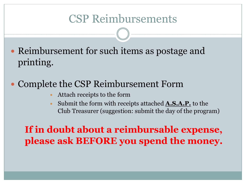#### CSP Reimbursements

• Reimbursement for such items as postage and printing.

#### Complete the CSP Reimbursement Form

- Attach receipts to the form
- Submit the form with receipts attached **A.S.A.P.** to the Club Treasurer (suggestion: submit the day of the program)

**If in doubt about a reimbursable expense, please ask BEFORE you spend the money.**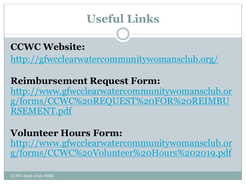## **[Useful Links](http://www.gfwcclearwatercommunitywomansclub.org/forms/CCWC%20REQUEST%20FOR%20REIMBURSEMENT.pdf)**

#### **CCWC Website:**

http://gfwcclearwatercommunitywomansclub.org

#### **Reimbursement Request Form:**

http://www.gfwcclearwatercommunitywomanscl g/forms/CCWC%20REQUEST%20FOR%20REI RSEMENT.pdf

#### **Volunteer Hours Form:**

http://www.gfwcclearwatercommunitywomanscl g/forms/CCWC%20Volunteer%20Hours%20201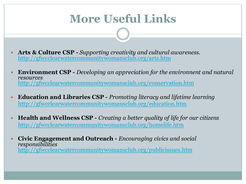## **[More Useful Links](http://gfwcclearwatercommunitywomansclub.org/education.htm)**

- **Arts & Culture CSP -** *Supporting creativity and cultural awareness.* http://gfwcclearwatercommunitywomansclub.org/arts.htm
- **Environment CSP -** *Developing an appreciation for the environnent and natural mass of the environnent and natural mass and natural mass and natural mass and natural*  $\sigma$ *resources* http://gfwcclearwatercommunitywomansclub.org/conservation.htm
- **Education and Libraries CSP -** *Promoting literacy and lifetime learning* http://gfwcclearwatercommunitywomansclub.org/education.htm
- **Health and Wellness CSP -** *Creating a better quality of life for our citizens also Equivalent* http://gfwcclearwatercommunitywomansclub.org/homelife.htm
- **Civic Engagement and Outreach -** *Encouraging civics and social responsibilities* http://gfwcclearwatercommunitywomansclub.org/publicissues.htm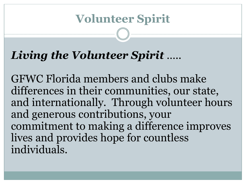## **Volunteer Spirit**

## *Living the Volunteer Spirit* …..

GFWC Florida members and clubs make differences in their communities, our state, and internationally. Through volunteer hours and generous contributions, your commitment to making a difference improves lives and provides hope for countless individuals.